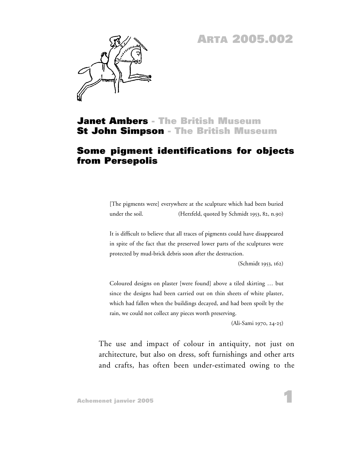## **ARTA 2005.002**



#### **Janet Ambers - The British Museum St John Simpson - The British Museum**

#### **Some pigment identifications for objects from Persepolis**

[The pigments were] everywhere at the sculpture which had been buried under the soil. (Herzfeld, quoted by Schmidt 1953, 82, n.90)

It is difficult to believe that all traces of pigments could have disappeared in spite of the fact that the preserved lower parts of the sculptures were protected by mud-brick debris soon after the destruction.

(Schmidt 1953, 162)

Coloured designs on plaster [were found] above a tiled skirting … but since the designs had been carried out on thin sheets of white plaster, which had fallen when the buildings decayed, and had been spoilt by the rain, we could not collect any pieces worth preserving.

(Ali-Sami 1970, 24-25)

The use and impact of colour in antiquity, not just on architecture, but also on dress, soft furnishings and other arts and crafts, has often been under-estimated owing to the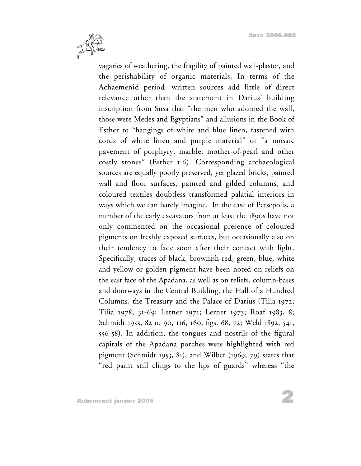

vagaries of weathering, the fragility of painted wall-plaster, and the perishability of organic materials. In terms of the Achaemenid period, written sources add little of direct relevance other than the statement in Darius' building inscription from Susa that "the men who adorned the wall, those were Medes and Egyptians" and allusions in the Book of Esther to "hangings of white and blue linen, fastened with cords of white linen and purple material" or "a mosaic pavement of porphyry, marble, mother-of-pearl and other costly stones" (Esther 1:6). Corresponding archaeological sources are equally poorly preserved, yet glazed bricks, painted wall and floor surfaces, painted and gilded columns, and coloured textiles doubtless transformed palatial interiors in ways which we can barely imagine. In the case of Persepolis, a number of the early excavators from at least the 1890s have not only commented on the occasional presence of coloured pigments on freshly exposed surfaces, but occasionally also on their tendency to fade soon after their contact with light. Specifically, traces of black, brownish-red, green, blue, white and yellow or golden pigment have been noted on reliefs on the east face of the Apadana, as well as on reliefs, column-bases and doorways in the Central Building, the Hall of a Hundred Columns, the Treasury and the Palace of Darius (Tilia 1972; Tilia 1978, 31-69; Lerner 1971; Lerner 1973; Roaf 1983, 8; Schmidt 1953, 82 n. 90, 116, 160, figs. 68, 72; Weld 1892, 541, 556-58). In addition, the tongues and nostrils of the figural capitals of the Apadana porches were highlighted with red pigment (Schmidt 1953, 81), and Wilber (1969, 79) states that "red paint still clings to the lips of guards" whereas "the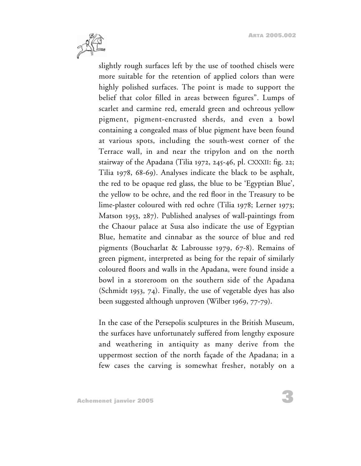

slightly rough surfaces left by the use of toothed chisels were more suitable for the retention of applied colors than were highly polished surfaces. The point is made to support the belief that color filled in areas between figures". Lumps of scarlet and carmine red, emerald green and ochreous yellow pigment, pigment-encrusted sherds, and even a bowl containing a congealed mass of blue pigment have been found at various spots, including the south-west corner of the Terrace wall, in and near the tripylon and on the north stairway of the Apadana (Tilia 1972, 245-46, pl. CXXXII: fig. 22; Tilia 1978, 68-69). Analyses indicate the black to be asphalt, the red to be opaque red glass, the blue to be 'Egyptian Blue', the yellow to be ochre, and the red floor in the Treasury to be lime-plaster coloured with red ochre (Tilia 1978; Lerner 1973; Matson 1953, 287). Published analyses of wall-paintings from the Chaour palace at Susa also indicate the use of Egyptian Blue, hematite and cinnabar as the source of blue and red pigments (Boucharlat & Labrousse 1979, 67-8). Remains of green pigment, interpreted as being for the repair of similarly coloured floors and walls in the Apadana, were found inside a bowl in a storeroom on the southern side of the Apadana (Schmidt 1953, 74). Finally, the use of vegetable dyes has also been suggested although unproven (Wilber 1969, 77-79).

In the case of the Persepolis sculptures in the British Museum, the surfaces have unfortunately suffered from lengthy exposure and weathering in antiquity as many derive from the uppermost section of the north façade of the Apadana; in a few cases the carving is somewhat fresher, notably on a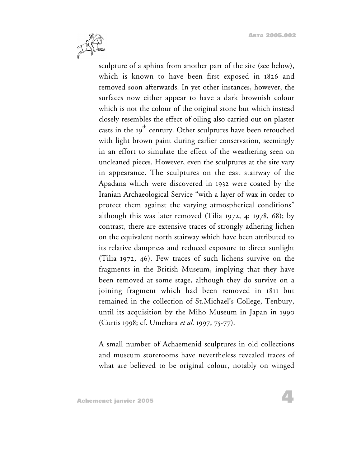

sculpture of a sphinx from another part of the site (see below), which is known to have been first exposed in 1826 and removed soon afterwards. In yet other instances, however, the surfaces now either appear to have a dark brownish colour which is not the colour of the original stone but which instead closely resembles the effect of oiling also carried out on plaster casts in the  $19<sup>th</sup>$  century. Other sculptures have been retouched with light brown paint during earlier conservation, seemingly in an effort to simulate the effect of the weathering seen on uncleaned pieces. However, even the sculptures at the site vary in appearance. The sculptures on the east stairway of the Apadana which were discovered in 1932 were coated by the Iranian Archaeological Service "with a layer of wax in order to protect them against the varying atmospherical conditions" although this was later removed (Tilia 1972, 4; 1978, 68); by contrast, there are extensive traces of strongly adhering lichen on the equivalent north stairway which have been attributed to its relative dampness and reduced exposure to direct sunlight (Tilia 1972, 46). Few traces of such lichens survive on the fragments in the British Museum, implying that they have been removed at some stage, although they do survive on a joining fragment which had been removed in 1811 but remained in the collection of St.Michael's College, Tenbury, until its acquisition by the Miho Museum in Japan in 1990 (Curtis 1998; cf. Umehara *et al.* 1997, 75-77).

A small number of Achaemenid sculptures in old collections and museum storerooms have nevertheless revealed traces of what are believed to be original colour, notably on winged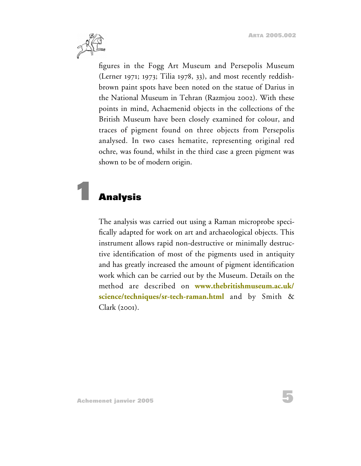**5**



figures in the Fogg Art Museum and Persepolis Museum (Lerner 1971; 1973; Tilia 1978, 33), and most recently reddishbrown paint spots have been noted on the statue of Darius in the National Museum in Tehran (Razmjou 2002). With these points in mind, Achaemenid objects in the collections of the British Museum have been closely examined for colour, and traces of pigment found on three objects from Persepolis analysed. In two cases hematite, representing original red ochre, was found, whilst in the third case a green pigment was shown to be of modern origin.

# **1 Analysis**

The analysis was carried out using a Raman microprobe specifically adapted for work on art and archaeological objects. This instrument allows rapid non-destructive or minimally destructive identification of most of the pigments used in antiquity and has greatly increased the amount of pigment identification work which can be carried out by the Museum. Details on the method are described on **www.thebritishmuseum.ac.uk/ [science/techniques/sr-tech-raman.html](http://www.thebritishmuseum.ac.uk/science/techniques/sr-tech-raman.html)** and by Smith & Clark (2001).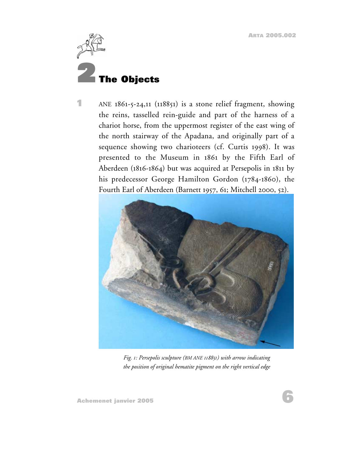<span id="page-5-0"></span>

**1** ANE 1861-5-24,11 (118851) is a stone relief fragment, showing the reins, tasselled rein-guide and part of the harness of a chariot horse, from the uppermost register of the east wing of the north stairway of the Apadana, and originally part of a sequence showing two charioteers (cf. Curtis 1998). It was presented to the Museum in 1861 by the Fifth Earl of Aberdeen (1816-1864) but was acquired at Persepolis in 1811 by his predecessor George Hamilton Gordon (1784-1860), the Fourth Earl of Aberdeen (Barnett 1957, 61; Mitchell 2000, 52).



*Fig. 1: Persepolis sculpture (BM ANE 118851) with arrow indicating the position of original hematite pigment on the right vertical edge*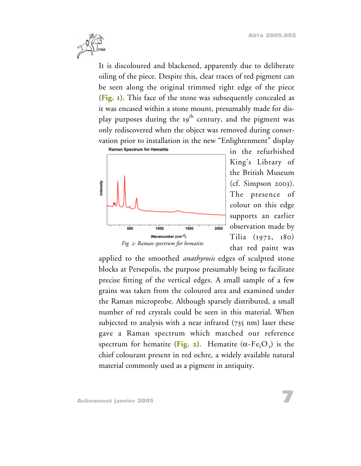

It is discoloured and blackened, apparently due to deliberate oiling of the piece. Despite this, clear traces of red pigment can be seen along the original trimmed right edge of the piece (**[Fig. 1](#page-5-0)**). This face of the stone was subsequently concealed as it was encased within a stone mount, presumably made for display purposes during the 19<sup>th</sup> century, and the pigment was only rediscovered when the object was removed during conservation prior to installation in the new "Enlightenment" display



in the refurbished King's Library of the British Museum (cf. Simpson 2003). The presence of colour on this edge supports an earlier observation made by Tilia (1972, 180) that red paint was

applied to the smoothed *anathyrosis* edges of sculpted stone blocks at Persepolis, the purpose presumably being to facilitate precise fitting of the vertical edges. A small sample of a few grains was taken from the coloured area and examined under the Raman microprobe. Although sparsely distributed, a small number of red crystals could be seen in this material. When subjected to analysis with a near infrared  $(735 \text{ nm})$  laser these gave a Raman spectrum which matched our reference spectrum for hematite (**Fig. 2**). Hematite  $(\alpha - Fe<sub>2</sub>O<sub>3</sub>)$  is the chief colourant present in red ochre, a widely available natural material commonly used as a pigment in antiquity.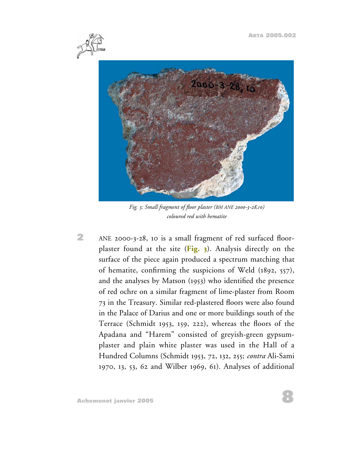

*Fig. 3: Small fragment of floor plaster (BM ANE 2000-3-28,10) coloured red with hematite*

**2** ANE 2000-3-28, 10 is a small fragment of red surfaced floorplaster found at the site (**Fig. 3**). Analysis directly on the surface of the piece again produced a spectrum matching that of hematite, confirming the suspicions of Weld (1892, 557), and the analyses by Matson (1953) who identified the presence of red ochre on a similar fragment of lime-plaster from Room 73 in the Treasury. Similar red-plastered floors were also found in the Palace of Darius and one or more buildings south of the Terrace (Schmidt 1953, 159, 222), whereas the floors of the Apadana and "Harem" consisted of greyish-green gypsumplaster and plain white plaster was used in the Hall of a Hundred Columns (Schmidt 1953, 72, 132, 255; *contra* Ali-Sami 1970, 13, 53, 62 and Wilber 1969, 61). Analyses of additional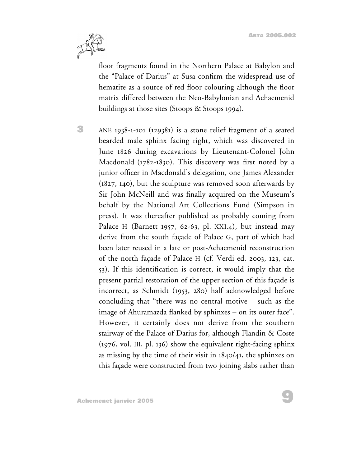

floor fragments found in the Northern Palace at Babylon and the "Palace of Darius" at Susa confirm the widespread use of hematite as a source of red floor colouring although the floor matrix differed between the Neo-Babylonian and Achaemenid buildings at those sites (Stoops & Stoops 1994).

**3** ANE 1938-1-101 (129381) is a stone relief fragment of a seated bearded male sphinx facing right, which was discovered in June 1826 during excavations by Lieutenant-Colonel John Macdonald (1782-1830). This discovery was first noted by a junior officer in Macdonald's delegation, one James Alexander (1827, 140), but the sculpture was removed soon afterwards by Sir John McNeill and was finally acquired on the Museum's behalf by the National Art Collections Fund (Simpson in press). It was thereafter published as probably coming from Palace H (Barnett 1957, 62-63, pl. XXI.4), but instead may derive from the south façade of Palace G, part of which had been later reused in a late or post-Achaemenid reconstruction of the north façade of Palace H (cf. Verdi ed. 2003, 123, cat. 53). If this identification is correct, it would imply that the present partial restoration of the upper section of this façade is incorrect, as Schmidt (1953, 280) half acknowledged before concluding that "there was no central motive – such as the image of Ahuramazda flanked by sphinxes – on its outer face". However, it certainly does not derive from the southern stairway of the Palace of Darius for, although Flandin & Coste (1976, vol. III, pl. 136) show the equivalent right-facing sphinx as missing by the time of their visit in 1840/41, the sphinxes on this façade were constructed from two joining slabs rather than

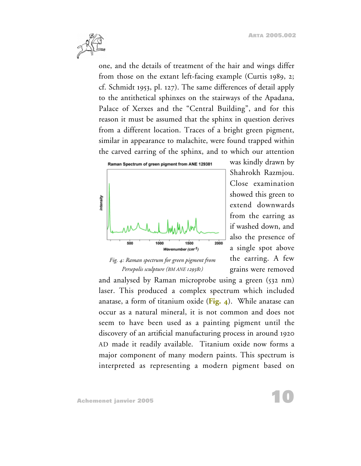

one, and the details of treatment of the hair and wings differ from those on the extant left-facing example (Curtis 1989, 2; cf. Schmidt 1953, pl. 127). The same differences of detail apply to the antithetical sphinxes on the stairways of the Apadana, Palace of Xerxes and the "Central Building", and for this reason it must be assumed that the sphinx in question derives from a different location. Traces of a bright green pigment, similar in appearance to malachite, were found trapped within the carved earring of the sphinx, and to which our attention



*Fig. 4: Raman spectrum for green pigment from Persepolis sculpture (BM ANE 129381)*

was kindly drawn by Shahrokh Razmjou. Close examination showed this green to extend downwards from the earring as if washed down, and also the presence of a single spot above the earring. A few grains were removed

**10**

and analysed by Raman microprobe using a green (532 nm) laser. This produced a complex spectrum which included anatase, a form of titanium oxide (**Fig. 4**). While anatase can occur as a natural mineral, it is not common and does not seem to have been used as a painting pigment until the discovery of an artificial manufacturing process in around 1920 AD made it readily available. Titanium oxide now forms a major component of many modern paints. This spectrum is interpreted as representing a modern pigment based on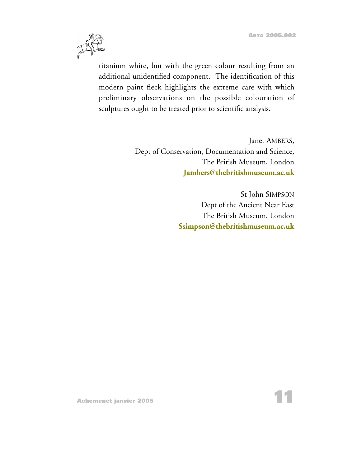

titanium white, but with the green colour resulting from an additional unidentified component. The identification of this modern paint fleck highlights the extreme care with which preliminary observations on the possible colouration of sculptures ought to be treated prior to scientific analysis.

> Janet AMBERS, Dept of Conservation, Documentation and Science, The British Museum, London **[Jambers@thebritishmuseum.ac.uk](mailto:Jambers@thebritishmuseum.ac.uk)**

> > St John SIMPSON Dept of the Ancient Near East The British Museum, London **[Ssimpson@thebritishmuseum.ac.uk](mailto:Ssimpson@thebritishmuseum.ac.uk)**

**Achemenet janvier 2005**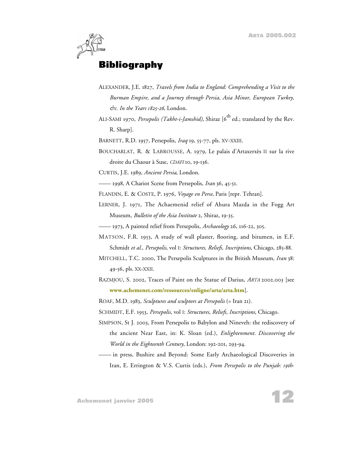

### **Bibliography**

- ALEXANDER, J.E. 1827, *Travels from India to England: Comprehending a Visit to the Burman Empire, and a Journey through Persia, Asia Minor, European Turkey, &c. In the Years 1825-26*, London.
- ALI-SAMI 1970, *Persepolis (Takht-i-Jamshid)*, Shiraz [6<sup>th</sup> ed.; translated by the Rev. R. Sharp].

BARNETT, R.D. 1957, Persepolis, *Iraq* 19, 55-77, pls. XV-XXIII.

- BOUCHARLAT, R. & LABROUSSE, A. 1979, Le palais d'Artaxerxès II sur la rive droite du Chaour à Suse, *CDAFI* 10, 19-136.
- CURTIS, J.E. 1989, *Ancient Persia*, London.
	- –––– 1998, A Chariot Scene from Persepolis, *Iran* 36, 45-51.
- FLANDIN, E. & COSTE, P. 1976, *Voyage en Perse*, Paris [repr. Tehran].
- LERNER, J. 1971, The Achaemenid relief of Ahura Mazda in the Fogg Art Museum, *Bulletin of the Asia Institute* 2, Shiraz, 19-35.
- –––– 1973, A painted relief from Persepolis, *Archaeology* 26, 116-22, 305.
- MATSON, F.R. 1953, A study of wall plaster, flooring, and bitumen, in E.F. Schmidt *et al.*, *Persepolis*, vol I: *Structures, Reliefs, Inscriptions*, Chicago, 285-88.
- MITCHELL, T.C. 2000, The Persepolis Sculptures in the British Museum, *Iran* 38: 49-56, pls. XX-XXII.
- RAZMJOU, S. 2002, Traces of Paint on the Statue of Darius, *ARTA* 2002.003 [see **[www.achemenet.com/ressources/enligne/arta/arta.htm](http://www.achemenet.com/ressources/enligne/arta/arta.htm)**].

ROAF, M.D. 1983, *Sculptures and sculptors at Persepolis* (= Iran 21).

- SCHMIDT, E.F. 1953, *Persepolis*, vol I: *Structures, Reliefs, Inscriptions*, Chicago.
- SIMPSON, St J. 2003, From Persepolis to Babylon and Nineveh: the rediscovery of the ancient Near East, in: K. Sloan (ed.), *Enlightenment. Discovering the World in the Eighteenth Century*, London: 192-201, 293-94.
- –––– in press, Bushire and Beyond: Some Early Archaeological Discoveries in Iran, E. Errington & V.S. Curtis (eds.), *From Persepolis to the Punjab: 19th*-